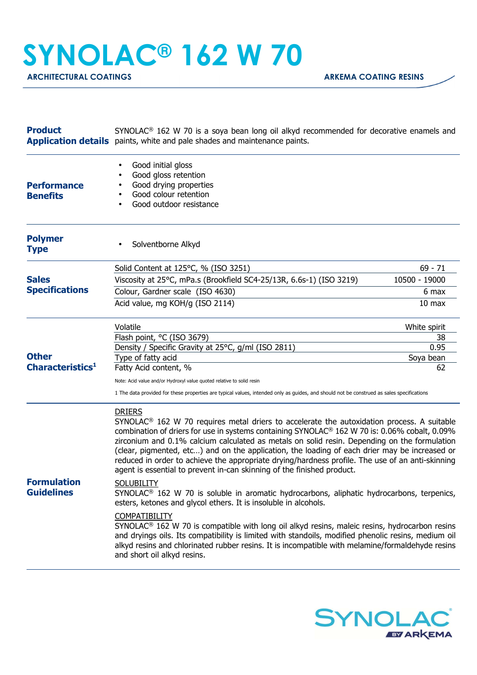## **SYNOLAC® 162 W 70**

ARCHITECTURAL COATINGS **ARKEMA COATING RESINS** 

| <b>Product</b>                          | $SYNOLAC®$ 162 W 70 is a soya bean long oil alkyd recommended for decorative enamels and<br><b>Application details</b> paints, white and pale shades and maintenance paints.                                                                                                                                                                                                                                                                                                                                                                                                                            |                   |  |
|-----------------------------------------|---------------------------------------------------------------------------------------------------------------------------------------------------------------------------------------------------------------------------------------------------------------------------------------------------------------------------------------------------------------------------------------------------------------------------------------------------------------------------------------------------------------------------------------------------------------------------------------------------------|-------------------|--|
| <b>Performance</b><br><b>Benefits</b>   | Good initial gloss<br>Good gloss retention<br>Good drying properties<br>Good colour retention<br>Good outdoor resistance                                                                                                                                                                                                                                                                                                                                                                                                                                                                                |                   |  |
| <b>Polymer</b><br><b>Type</b>           | Solventborne Alkyd<br>$\bullet$                                                                                                                                                                                                                                                                                                                                                                                                                                                                                                                                                                         |                   |  |
|                                         | Solid Content at 125°C, % (ISO 3251)                                                                                                                                                                                                                                                                                                                                                                                                                                                                                                                                                                    | $69 - 71$         |  |
| <b>Sales</b><br><b>Specifications</b>   | Viscosity at 25°C, mPa.s (Brookfield SC4-25/13R, 6.6s-1) (ISO 3219)                                                                                                                                                                                                                                                                                                                                                                                                                                                                                                                                     | 10500 - 19000     |  |
|                                         | Colour, Gardner scale (ISO 4630)                                                                                                                                                                                                                                                                                                                                                                                                                                                                                                                                                                        | 6 max             |  |
|                                         | Acid value, mg KOH/g (ISO 2114)                                                                                                                                                                                                                                                                                                                                                                                                                                                                                                                                                                         | 10 <sub>max</sub> |  |
|                                         | Volatile                                                                                                                                                                                                                                                                                                                                                                                                                                                                                                                                                                                                | White spirit      |  |
|                                         | Flash point, °C (ISO 3679)                                                                                                                                                                                                                                                                                                                                                                                                                                                                                                                                                                              | 38                |  |
| <b>Other</b>                            | Density / Specific Gravity at 25°C, g/ml (ISO 2811)<br>Type of fatty acid                                                                                                                                                                                                                                                                                                                                                                                                                                                                                                                               | 0.95<br>Soya bean |  |
| Characteristics <sup>1</sup>            | Fatty Acid content, %                                                                                                                                                                                                                                                                                                                                                                                                                                                                                                                                                                                   | 62                |  |
|                                         |                                                                                                                                                                                                                                                                                                                                                                                                                                                                                                                                                                                                         |                   |  |
|                                         | Note: Acid value and/or Hydroxyl value quoted relative to solid resin<br>1 The data provided for these properties are typical values, intended only as guides, and should not be construed as sales specifications                                                                                                                                                                                                                                                                                                                                                                                      |                   |  |
|                                         | <b>DRIERS</b><br>SYNOLAC <sup>®</sup> 162 W 70 requires metal driers to accelerate the autoxidation process. A suitable<br>combination of driers for use in systems containing SYNOLAC® 162 W 70 is: 0.06% cobalt, 0.09%<br>zirconium and 0.1% calcium calculated as metals on solid resin. Depending on the formulation<br>(clear, pigmented, etc) and on the application, the loading of each drier may be increased or<br>reduced in order to achieve the appropriate drying/hardness profile. The use of an anti-skinning<br>agent is essential to prevent in-can skinning of the finished product. |                   |  |
| <b>Formulation</b><br><b>Guidelines</b> | <b>SOLUBILITY</b><br>SYNOLAC <sup>®</sup> 162 W 70 is soluble in aromatic hydrocarbons, aliphatic hydrocarbons, terpenics,<br>esters, ketones and glycol ethers. It is insoluble in alcohols.                                                                                                                                                                                                                                                                                                                                                                                                           |                   |  |
|                                         | <b>COMPATIBILITY</b><br>SYNOLAC <sup>®</sup> 162 W 70 is compatible with long oil alkyd resins, maleic resins, hydrocarbon resins<br>and dryings oils. Its compatibility is limited with standoils, modified phenolic resins, medium oil<br>alkyd resins and chlorinated rubber resins. It is incompatible with melamine/formaldehyde resins<br>and short oil alkyd resins.                                                                                                                                                                                                                             |                   |  |
|                                         |                                                                                                                                                                                                                                                                                                                                                                                                                                                                                                                                                                                                         |                   |  |